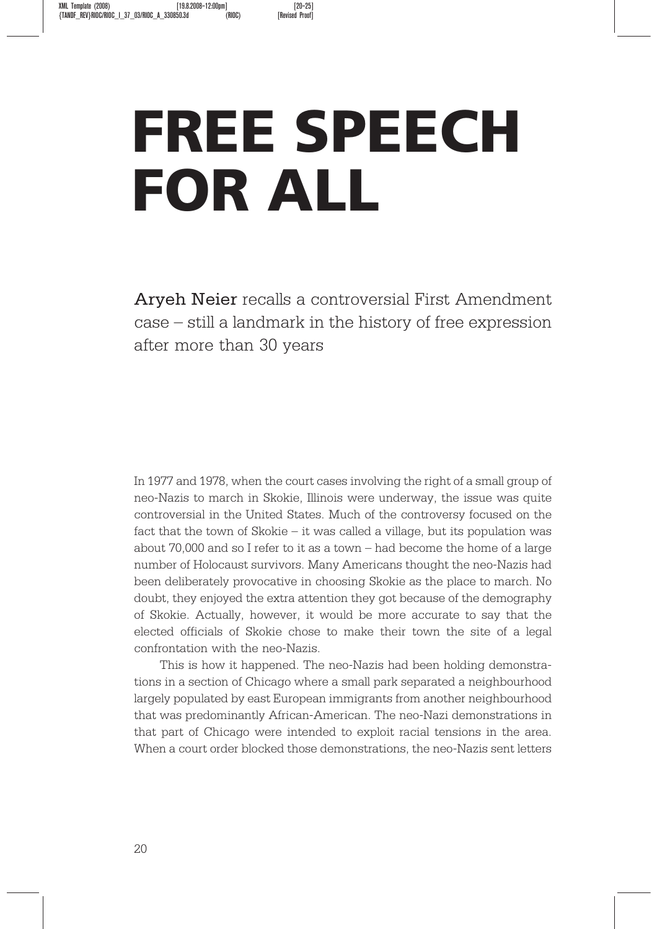## FREE SPEECH FOR ALL

Aryeh Neier recalls a controversial First Amendment case – still a landmark in the history of free expression after more than 30 years

In 1977 and 1978, when the court cases involving the right of a small group of neo-Nazis to march in Skokie, Illinois were underway, the issue was quite controversial in the United States. Much of the controversy focused on the fact that the town of Skokie – it was called a village, but its population was about 70,000 and so I refer to it as a town – had become the home of a large number of Holocaust survivors. Many Americans thought the neo-Nazis had been deliberately provocative in choosing Skokie as the place to march. No doubt, they enjoyed the extra attention they got because of the demography of Skokie. Actually, however, it would be more accurate to say that the elected officials of Skokie chose to make their town the site of a legal confrontation with the neo-Nazis.

This is how it happened. The neo-Nazis had been holding demonstrations in a section of Chicago where a small park separated a neighbourhood largely populated by east European immigrants from another neighbourhood that was predominantly African-American. The neo-Nazi demonstrations in that part of Chicago were intended to exploit racial tensions in the area. When a court order blocked those demonstrations, the neo-Nazis sent letters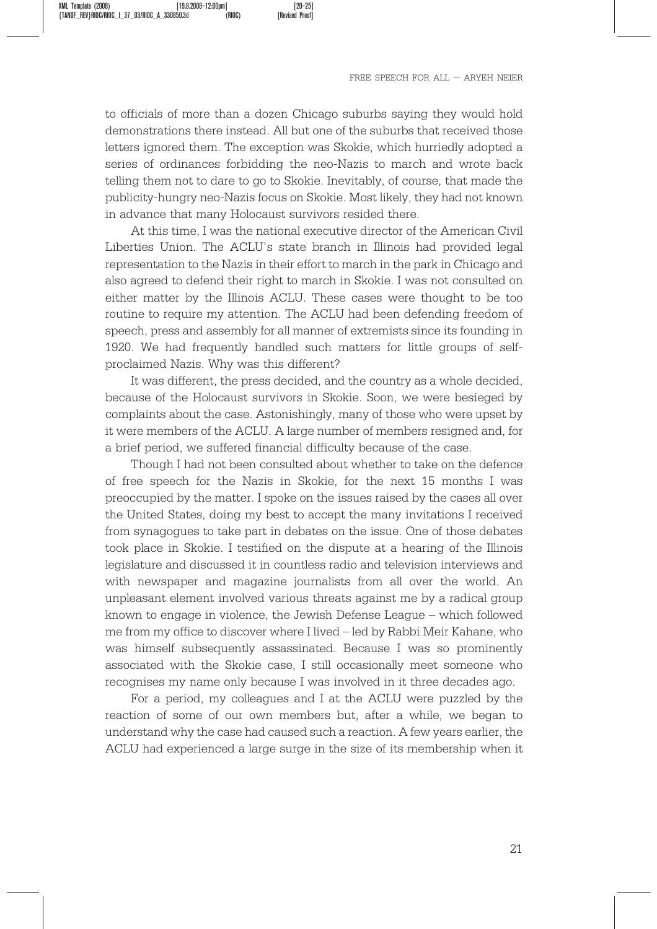FREE SPEECH FOR ALL  $-$  ARYEH NEIER

to officials of more than a dozen Chicago suburbs saying they would hold demonstrations there instead. All but one of the suburbs that received those letters ignored them. The exception was Skokie, which hurriedly adopted a series of ordinances forbidding the neo-Nazis to march and wrote back telling them not to dare to go to Skokie. Inevitably, of course, that made the publicity-hungry neo-Nazis focus on Skokie. Most likely, they had not known in advance that many Holocaust survivors resided there.

At this time, I was the national executive director of the American Civil Liberties Union. The ACLU's state branch in Illinois had provided legal representation to the Nazis in their effort to march in the park in Chicago and also agreed to defend their right to march in Skokie. I was not consulted on either matter by the Illinois ACLU. These cases were thought to be too routine to require my attention. The ACLU had been defending freedom of speech, press and assembly for all manner of extremists since its founding in 1920. We had frequently handled such matters for little groups of selfproclaimed Nazis. Why was this different?

It was different, the press decided, and the country as a whole decided, because of the Holocaust survivors in Skokie. Soon, we were besieged by complaints about the case. Astonishingly, many of those who were upset by it were members of the ACLU. A large number of members resigned and, for a brief period, we suffered financial difficulty because of the case.

Though I had not been consulted about whether to take on the defence of free speech for the Nazis in Skokie, for the next 15 months I was preoccupied by the matter. I spoke on the issues raised by the cases all over the United States, doing my best to accept the many invitations I received from synagogues to take part in debates on the issue. One of those debates took place in Skokie. I testified on the dispute at a hearing of the Illinois legislature and discussed it in countless radio and television interviews and with newspaper and magazine journalists from all over the world. An unpleasant element involved various threats against me by a radical group known to engage in violence, the Jewish Defense League – which followed me from my office to discover where I lived – led by Rabbi Meir Kahane, who was himself subsequently assassinated. Because I was so prominently associated with the Skokie case, I still occasionally meet someone who recognises my name only because I was involved in it three decades ago.

For a period, my colleagues and I at the ACLU were puzzled by the reaction of some of our own members but, after a while, we began to understand why the case had caused such a reaction. A few years earlier, the ACLU had experienced a large surge in the size of its membership when it

21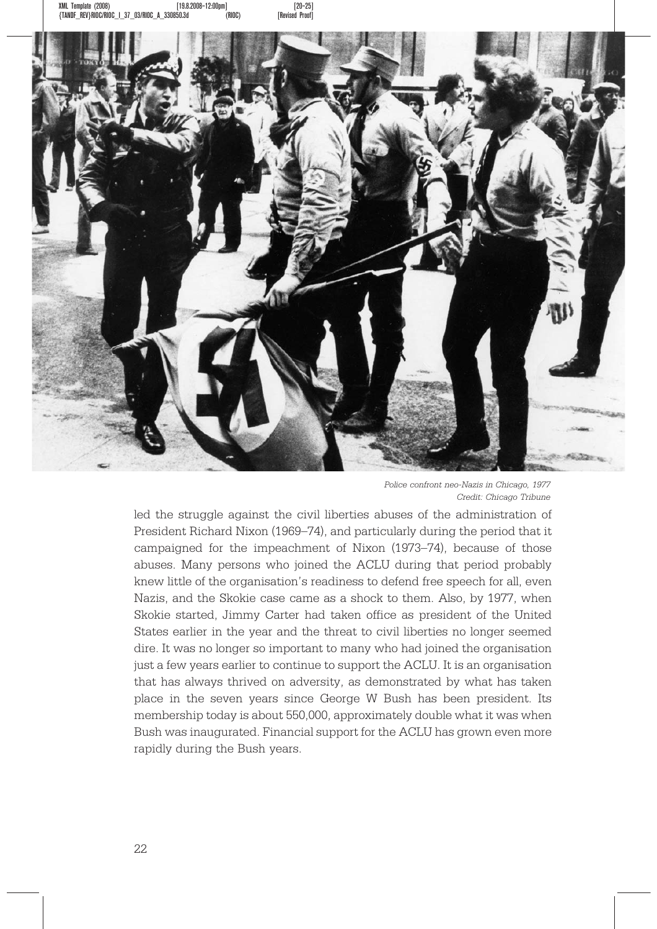

Police confront neo-Nazis in Chicago, 1977 Credit: Chicago Tribune

led the struggle against the civil liberties abuses of the administration of President Richard Nixon (1969–74), and particularly during the period that it campaigned for the impeachment of Nixon (1973–74), because of those abuses. Many persons who joined the ACLU during that period probably knew little of the organisation's readiness to defend free speech for all, even Nazis, and the Skokie case came as a shock to them. Also, by 1977, when Skokie started, Jimmy Carter had taken office as president of the United States earlier in the year and the threat to civil liberties no longer seemed dire. It was no longer so important to many who had joined the organisation just a few years earlier to continue to support the ACLU. It is an organisation that has always thrived on adversity, as demonstrated by what has taken place in the seven years since George W Bush has been president. Its membership today is about 550,000, approximately double what it was when Bush was inaugurated. Financial support for the ACLU has grown even more rapidly during the Bush years.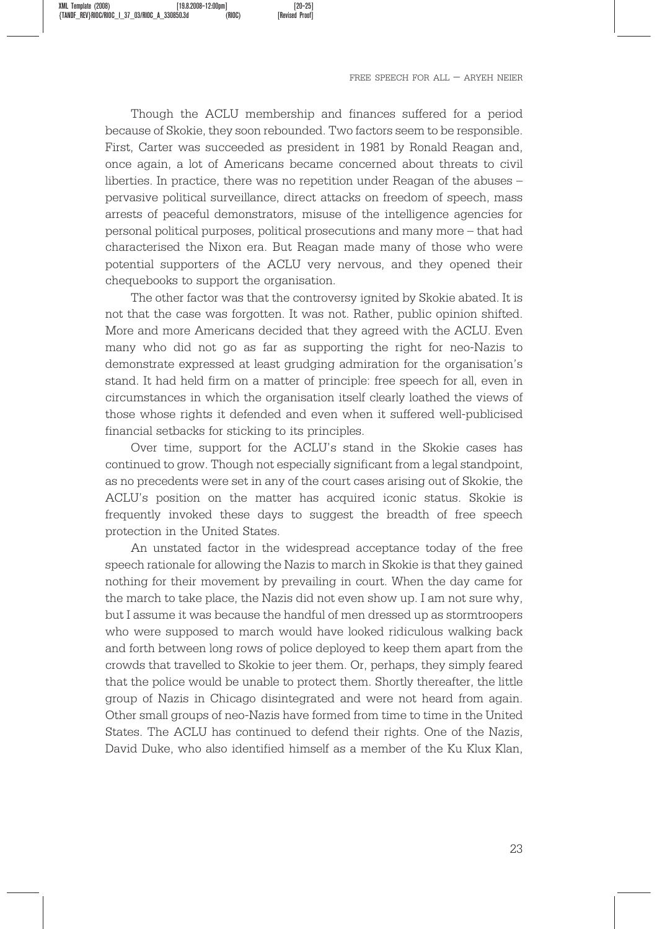FREE SPEECH FOR ALL  $-$  ARYEH NEIER

Though the ACLU membership and finances suffered for a period because of Skokie, they soon rebounded. Two factors seem to be responsible. First, Carter was succeeded as president in 1981 by Ronald Reagan and, once again, a lot of Americans became concerned about threats to civil liberties. In practice, there was no repetition under Reagan of the abuses – pervasive political surveillance, direct attacks on freedom of speech, mass arrests of peaceful demonstrators, misuse of the intelligence agencies for personal political purposes, political prosecutions and many more – that had characterised the Nixon era. But Reagan made many of those who were potential supporters of the ACLU very nervous, and they opened their chequebooks to support the organisation.

The other factor was that the controversy ignited by Skokie abated. It is not that the case was forgotten. It was not. Rather, public opinion shifted. More and more Americans decided that they agreed with the ACLU. Even many who did not go as far as supporting the right for neo-Nazis to demonstrate expressed at least grudging admiration for the organisation's stand. It had held firm on a matter of principle: free speech for all, even in circumstances in which the organisation itself clearly loathed the views of those whose rights it defended and even when it suffered well-publicised financial setbacks for sticking to its principles.

Over time, support for the ACLU's stand in the Skokie cases has continued to grow. Though not especially significant from a legal standpoint, as no precedents were set in any of the court cases arising out of Skokie, the ACLU's position on the matter has acquired iconic status. Skokie is frequently invoked these days to suggest the breadth of free speech protection in the United States.

An unstated factor in the widespread acceptance today of the free speech rationale for allowing the Nazis to march in Skokie is that they gained nothing for their movement by prevailing in court. When the day came for the march to take place, the Nazis did not even show up. I am not sure why, but I assume it was because the handful of men dressed up as stormtroopers who were supposed to march would have looked ridiculous walking back and forth between long rows of police deployed to keep them apart from the crowds that travelled to Skokie to jeer them. Or, perhaps, they simply feared that the police would be unable to protect them. Shortly thereafter, the little group of Nazis in Chicago disintegrated and were not heard from again. Other small groups of neo-Nazis have formed from time to time in the United States. The ACLU has continued to defend their rights. One of the Nazis, David Duke, who also identified himself as a member of the Ku Klux Klan,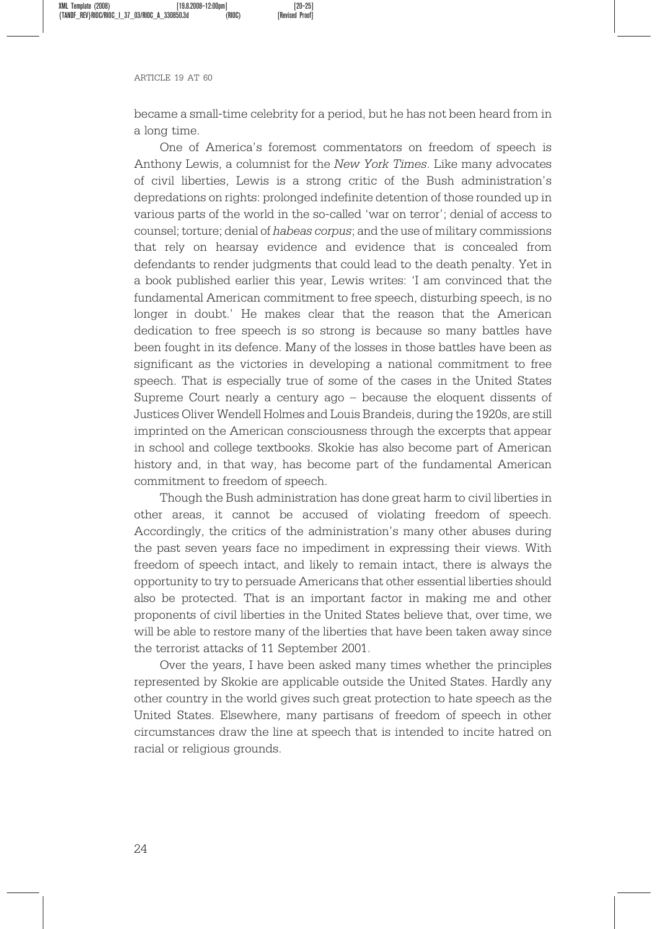## ARTICLE 19 AT 60

became a small-time celebrity for a period, but he has not been heard from in a long time.

One of America's foremost commentators on freedom of speech is Anthony Lewis, a columnist for the New York Times. Like many advocates of civil liberties, Lewis is a strong critic of the Bush administration's depredations on rights: prolonged indefinite detention of those rounded up in various parts of the world in the so-called 'war on terror'; denial of access to counsel; torture; denial of habeas corpus; and the use of military commissions that rely on hearsay evidence and evidence that is concealed from defendants to render judgments that could lead to the death penalty. Yet in a book published earlier this year, Lewis writes: 'I am convinced that the fundamental American commitment to free speech, disturbing speech, is no longer in doubt.' He makes clear that the reason that the American dedication to free speech is so strong is because so many battles have been fought in its defence. Many of the losses in those battles have been as significant as the victories in developing a national commitment to free speech. That is especially true of some of the cases in the United States Supreme Court nearly a century ago – because the eloquent dissents of Justices Oliver Wendell Holmes and Louis Brandeis, during the 1920s, are still imprinted on the American consciousness through the excerpts that appear in school and college textbooks. Skokie has also become part of American history and, in that way, has become part of the fundamental American commitment to freedom of speech.

Though the Bush administration has done great harm to civil liberties in other areas, it cannot be accused of violating freedom of speech. Accordingly, the critics of the administration's many other abuses during the past seven years face no impediment in expressing their views. With freedom of speech intact, and likely to remain intact, there is always the opportunity to try to persuade Americans that other essential liberties should also be protected. That is an important factor in making me and other proponents of civil liberties in the United States believe that, over time, we will be able to restore many of the liberties that have been taken away since the terrorist attacks of 11 September 2001.

Over the years, I have been asked many times whether the principles represented by Skokie are applicable outside the United States. Hardly any other country in the world gives such great protection to hate speech as the United States. Elsewhere, many partisans of freedom of speech in other circumstances draw the line at speech that is intended to incite hatred on racial or religious grounds.